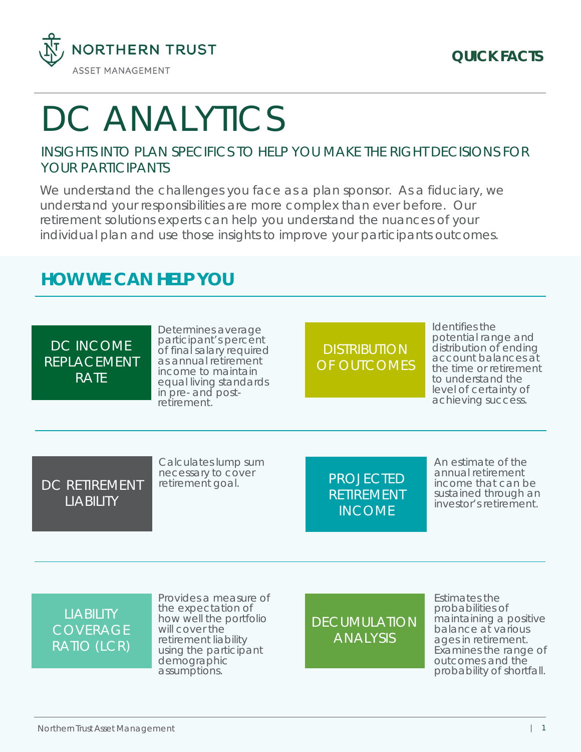

# DC ANALYTICS

#### INSIGHTS INTO PLAN SPECIFICS TO HELP YOU MAKE THE RIGHT DECISIONS FOR YOUR PARTICIPANTS

We understand the challenges you face as a plan sponsor. As a fiduciary, we understand your responsibilities are more complex than ever before. Our retirement solutions experts can help you understand the nuances of your individual plan and use those insights to improve your participants outcomes.

## **HOW WE CAN HELP YOU**

DC INCOME REPLACEMENT RATE

Determines average participant's percent of final salary required as annual retirement income to maintain equal living standards in pre- and postretirement.

# **DISTRIBUTION** OF OUTCOMES

Identifies the potential range and distribution of ending account balances at the time or retirement to understand the level of certainty of achieving success.

DC RETIREMENT LIABILITY

Calculates lump sum necessary to cover retirement goal.

PROJECTED RETIREMENT INCOME

An estimate of the annual retirement income that can be sustained through an investor's retirement.

## **LIABILITY** COVERAGE RATIO (LCR)

Provides a measure of the expectation of how well the portfolio will cover the retirement liability using the participant demographic assumptions.

**DECUMULATION** ANALYSIS

Estimates the probabilities of maintaining a positive balance at various ages in retirement. Examines the range of outcomes and the probability of shortfall.